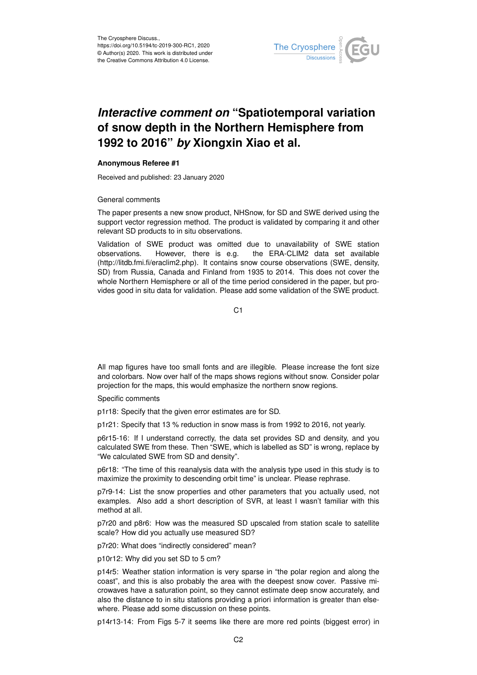

## *Interactive comment on* **"Spatiotemporal variation of snow depth in the Northern Hemisphere from 1992 to 2016"** *by* **Xiongxin Xiao et al.**

## **Anonymous Referee #1**

Received and published: 23 January 2020

## General comments

The paper presents a new snow product, NHSnow, for SD and SWE derived using the support vector regression method. The product is validated by comparing it and other relevant SD products to in situ observations.

Validation of SWE product was omitted due to unavailability of SWE station observations. However, there is e.g. the ERA-CLIM2 data set available (http://litdb.fmi.fi/eraclim2.php). It contains snow course observations (SWE, density, SD) from Russia, Canada and Finland from 1935 to 2014. This does not cover the whole Northern Hemisphere or all of the time period considered in the paper, but provides good in situ data for validation. Please add some validation of the SWE product.

 $C<sub>1</sub>$ 

All map figures have too small fonts and are illegible. Please increase the font size and colorbars. Now over half of the maps shows regions without snow. Consider polar projection for the maps, this would emphasize the northern snow regions.

Specific comments

p1r18: Specify that the given error estimates are for SD.

p1r21: Specify that 13 % reduction in snow mass is from 1992 to 2016, not yearly.

p6r15-16: If I understand correctly, the data set provides SD and density, and you calculated SWE from these. Then "SWE, which is labelled as SD" is wrong, replace by "We calculated SWE from SD and density".

p6r18: "The time of this reanalysis data with the analysis type used in this study is to maximize the proximity to descending orbit time" is unclear. Please rephrase.

p7r9-14: List the snow properties and other parameters that you actually used, not examples. Also add a short description of SVR, at least I wasn't familiar with this method at all.

p7r20 and p8r6: How was the measured SD upscaled from station scale to satellite scale? How did you actually use measured SD?

p7r20: What does "indirectly considered" mean?

p10r12: Why did you set SD to 5 cm?

p14r5: Weather station information is very sparse in "the polar region and along the coast", and this is also probably the area with the deepest snow cover. Passive microwaves have a saturation point, so they cannot estimate deep snow accurately, and also the distance to in situ stations providing a priori information is greater than elsewhere. Please add some discussion on these points.

p14r13-14: From Figs 5-7 it seems like there are more red points (biggest error) in